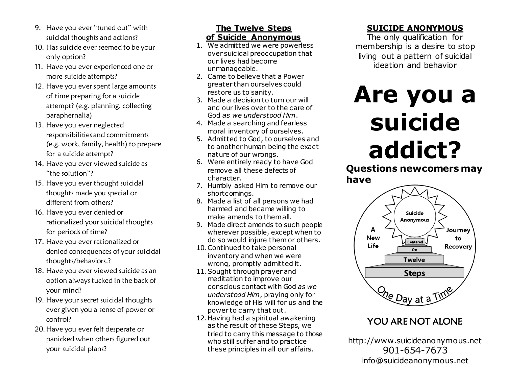- 9. Have you ever "tuned out" with suicidal thoughts and actions?
- 10. Has suicide ever seemed to be your only option?
- 11. Have you ever experienced one or more suicide attempts?
- 12. Have you ever spent large amounts of time preparing for a suicide attempt? (e.g. planning, collecting paraphernalia)
- 13. Have you ever neglected responsibilities and commitments (e.g. work, family, health) to prepare for a suicide attempt?
- 14. Have you ever viewed suicide as "the solution"?
- 15. Have you ever thought suicidal thoughts made you special or different from others?
- 16. Have you ever denied or rationalized your suicidal thoughts for periods of time?
- 17. Have you ever rationalized or denied consequences of your suicidal thoughts/behaviors.?
- 18. Have you ever viewed suicide as an option always tucked in the back of your mind?
- 19. Have your secret suicidal thoughts ever given you a sense of power or control?
- 20.Have you ever felt desperate or panicked when others figured out your suicidal plans?

#### **The Twelve Steps of Suicide Anonymous**

- 1. We admitted we were powerless over suicidal preoccupation that our lives had become unmanageable.
- 2. Came to believe that a Power greater than ourselves could restore us to sanity.
- 3. Made a decision to turn our will and our lives over to the care of God *as we understood Him*.
- 4. Made a searching and fearless moral inventory of ourselves.
- 5. Admitted to God, to ourselves and to another human being the exact nature of our wrongs.
- 6. Were entirely ready to have God remove all these defects of character.
- 7. Humbly asked Him to remove our shortcomings.
- 8. Made a list of all persons we had harmed and became willing to make amends to them all.
- 9. Made direct amends to such people wherever possible, except when to do so would injure them or others.
- 10.Continued to take personal inventory and when we were wrong, promptly admitted it.
- 11.Sought through prayer and meditation to improve our conscious contact with God *as we understood Him*, praying only for knowledge of His will for us and the power to carry that out.
- 12.Having had a spiritual awakening as the result of these Steps, we tried to carry this message to those who still suffer and to practice these principles in all our affairs.

## **SUICIDE ANONYMOUS**

The only qualification for membership is a desire to stop living out a pattern of suicidal ideation and behavior

# **Are you a suicide addict?**

**Questions newcomers may have**



## YOU ARE NOT ALONE

http://www.suicideanonymous.net 901-654-7673 info@suicideanonymous.net